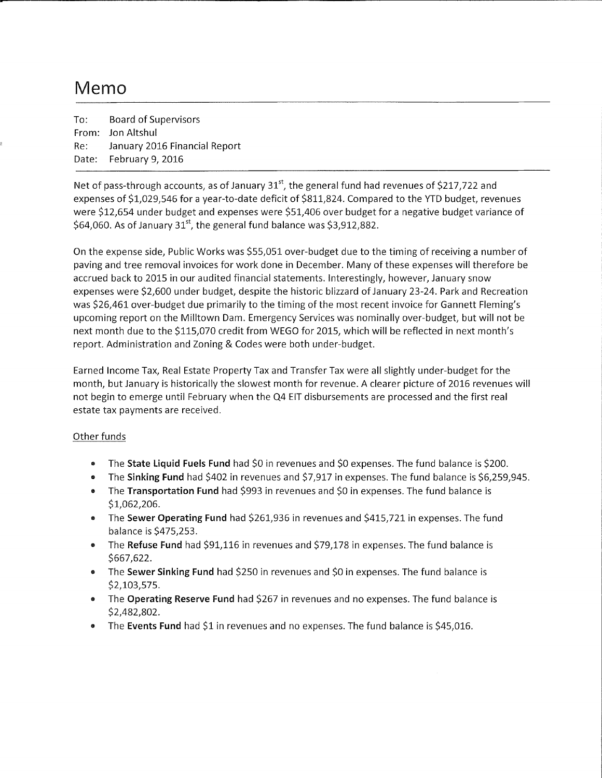## Memo

To: Board of Supervisors From: Jon Altshul Re: January 2016 Financial Report Date: February 9, 2016

Net of pass-through accounts, as of January  $31<sup>st</sup>$ , the general fund had revenues of \$217,722 and expenses of \$1,029,546 for a year-to-date deficit of \$811,824. Compared to the YTD budget, revenues were \$12,654 under budget and expenses were \$51,406 over budget for a negative budget variance of  $$64,060$ . As of January 31<sup>st</sup>, the general fund balance was \$3,912,882.

On the expense side, Public Works was \$55,051 over-budget due to the timing of receiving a number of paving and tree removal invoices for work done in December. Many of these expenses will therefore be accrued back to 2015 in our audited financial statements. Interestingly, however, January snow expenses were \$2,600 under budget, despite the historic blizzard of January 23-24. Park and Recreation was \$26,461 over-budget due primarily to the timing of the most recent invoice for Gannett Fleming's upcoming report on the Milltown Dam. Emergency Services was nominally over-budget, but will not be next month due to the \$115,070 credit from WEGO for 2015, which will be reflected in next month's report. Administration and Zoning & Codes were both under-budget.

Earned Income Tax, Real Estate Property Tax and Transfer Tax were all slightly under-budget for the month, but January is historically the slowest month for revenue. A clearer picture of 2016 revenues will not begin to emerge until February when the Q4 EIT disbursements are processed and the first real estate tax payments are received.

## Other funds

- The **State liquid Fuels Fund** had \$0 in revenues and \$0 expenses. The fund balance is \$200.
- The **Sinking Fund** had \$402 in revenues and \$7,917 in expenses. The fund balance is \$6,259,945.
- The **Transportation Fund** had \$993 in revenues and \$0 in expenses. The fund balance is \$1,062,206.
- The **Sewer Operating Fund** had \$261,936 in revenues and \$415,721 in expenses. The fund balance is \$475,253.
- The **Refuse Fund** had \$91,116 in revenues and \$79,178 in expenses. The fund balance is \$667,622.
- The **Sewer Sinking Fund** had \$250 in revenues and \$0 in expenses. The fund balance is \$2,103,575.
- The **Operating Reserve Fund** had \$267 in revenues and no expenses. The fund balance is \$2,482,802.
- The **Events Fund** had \$1 in revenues and no expenses. The fund balance is \$45,016.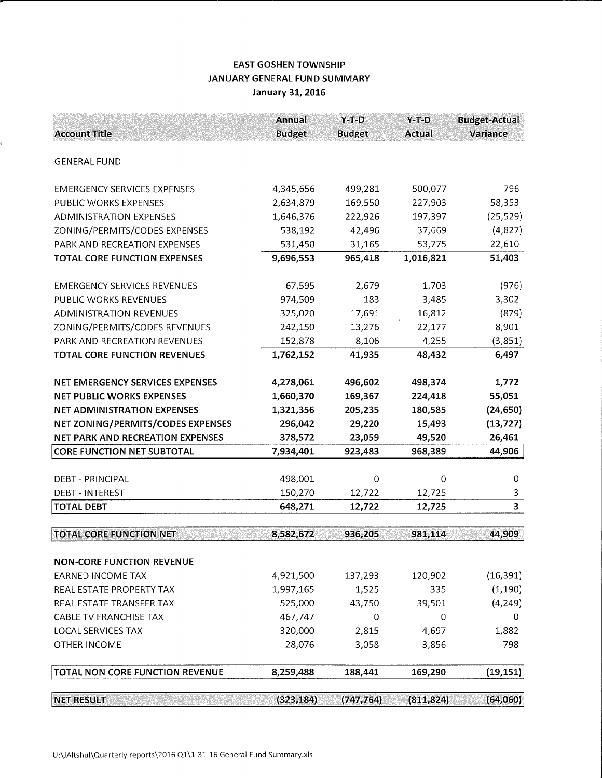## EAST GOSHEN TOWNSHIP JANUARY GENERAL FUND SUMMARY January 31, 2016

à.

| <b>Account Title</b>                    | <b>Annual</b><br><b>Budget</b> | $Y-T-D$<br><b>Budget</b> | $Y-T-D$<br><b>Actual</b> | <b>Budget-Actual</b><br>Variance |
|-----------------------------------------|--------------------------------|--------------------------|--------------------------|----------------------------------|
|                                         |                                |                          |                          |                                  |
| <b>GENERAL FUND</b>                     |                                |                          |                          |                                  |
| <b>EMERGENCY SERVICES EXPENSES</b>      | 4,345,656                      | 499,281                  | 500,077                  | 796                              |
| PUBLIC WORKS EXPENSES                   | 2,634,879                      | 169,550                  | 227,903                  | 58,353                           |
| <b>ADMINISTRATION EXPENSES</b>          | 1,646,376                      | 222,926                  | 197,397                  | (25, 529)                        |
| ZONING/PERMITS/CODES EXPENSES           | 538,192                        | 42,496                   | 37,669                   | (4,827)                          |
| PARK AND RECREATION EXPENSES            | 531,450                        | 31,165                   | 53,775                   | 22,610                           |
| <b>TOTAL CORE FUNCTION EXPENSES</b>     | 9,696,553                      | 965,418                  | 1,016,821                | 51,403                           |
| <b>EMERGENCY SERVICES REVENUES</b>      | 67,595                         | 2,679                    | 1,703                    | (976)                            |
| PUBLIC WORKS REVENUES                   | 974,509                        | 183                      | 3,485                    | 3,302                            |
| <b>ADMINISTRATION REVENUES</b>          | 325,020                        | 17,691                   | 16,812                   | (879)                            |
| ZONING/PERMITS/CODES REVENUES           | 242,150                        | 13,276                   | 22,177                   | 8,901                            |
| PARK AND RECREATION REVENUES            | 152,878                        | 8,106                    | 4,255                    | (3, 851)                         |
| <b>TOTAL CORE FUNCTION REVENUES</b>     | 1,762,152                      | 41,935                   | 48,432                   | 6,497                            |
| NET EMERGENCY SERVICES EXPENSES         | 4,278,061                      | 496,602                  | 498,374                  | 1,772                            |
| <b>NET PUBLIC WORKS EXPENSES</b>        | 1,660,370                      | 169,367                  | 224,418                  | 55,051                           |
| <b>NET ADMINISTRATION EXPENSES</b>      | 1,321,356                      | 205,235                  | 180,585                  | (24, 650)                        |
| NET ZONING/PERMITS/CODES EXPENSES       | 296,042                        | 29,220                   | 15,493                   | (13, 727)                        |
| <b>NET PARK AND RECREATION EXPENSES</b> | 378,572                        | 23,059                   | 49,520                   | 26,461                           |
| <b>CORE FUNCTION NET SUBTOTAL</b>       | 7,934,401                      | 923,483                  | 968,389                  | 44,906                           |
|                                         |                                |                          |                          |                                  |
| <b>DEBT - PRINCIPAL</b>                 | 498,001                        | 0                        | $\overline{0}$           | 0                                |
| <b>DEBT - INTEREST</b>                  | 150,270                        | 12,722                   | 12,725                   | 3                                |
| <b>TOTAL DEBT</b>                       | 648,271                        | 12,722                   | 12,725                   | 3                                |
| <b>TOTAL CORE FUNCTION NET</b>          | 8,582,672                      | 936,205                  | 981,114                  | 44,909                           |
| <b>NON-CORE FUNCTION REVENUE</b>        |                                |                          |                          |                                  |
| <b>EARNED INCOME TAX</b>                | 4,921,500                      | 137,293                  | 120,902                  | (16, 391)                        |
| REAL ESTATE PROPERTY TAX                | 1,997,165                      | 1,525                    | 335                      | (1, 190)                         |
| REAL ESTATE TRANSFER TAX                | 525,000                        | 43,750                   | 39,501                   | (4, 249)                         |
| <b>CABLE TV FRANCHISE TAX</b>           | 467,747                        | 0                        | 0                        | 0                                |
| <b>LOCAL SERVICES TAX</b>               | 320,000                        | 2,815                    | 4,697                    | 1,882                            |
| OTHER INCOME                            | 28,076                         | 3,058                    | 3,856                    | 798                              |
| TOTAL NON CORE FUNCTION REVENUE         | 8,259,488                      | 188,441                  | 169,290                  | (19, 151)                        |
|                                         |                                |                          |                          |                                  |
| <b>NET RESULT</b>                       | (323, 184)                     | (747, 764)               | (811, 824)               | (64,060)                         |